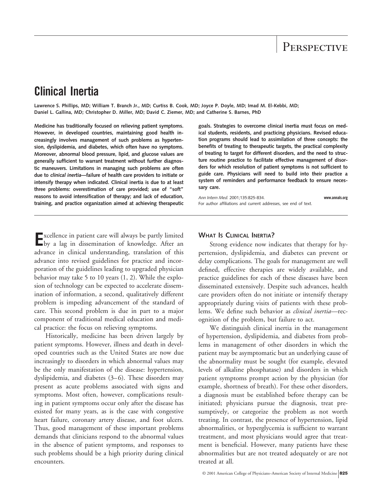## **PERSPECTIVE**

# **Clinical Inertia**

**Lawrence S. Phillips, MD; William T. Branch Jr., MD; Curtiss B. Cook, MD; Joyce P. Doyle, MD; Imad M. El-Kebbi, MD; Daniel L. Gallina, MD; Christopher D. Miller, MD; David C. Ziemer, MD; and Catherine S. Barnes, PhD**

**Medicine has traditionally focused on relieving patient symptoms. However, in developed countries, maintaining good health increasingly involves management of such problems as hypertension, dyslipidemia, and diabetes, which often have no symptoms. Moreover, abnormal blood pressure, lipid, and glucose values are generally sufficient to warrant treatment without further diagnostic maneuvers. Limitations in managing such problems are often due to clinical inertia—failure of health care providers to initiate or intensify therapy when indicated. Clinical inertia is due to at least three problems: overestimation of care provided; use of "soft" reasons to avoid intensification of therapy; and lack of education, training, and practice organization aimed at achieving therapeutic** **goals. Strategies to overcome clinical inertia must focus on medical students, residents, and practicing physicians. Revised education programs should lead to assimilation of three concepts: the benefits of treating to therapeutic targets, the practical complexity of treating to target for different disorders, and the need to structure routine practice to facilitate effective management of disorders for which resolution of patient symptoms is not sufficient to guide care. Physicians will need to build into their practice a system of reminders and performance feedback to ensure necessary care.**

*Ann Intern Med.* 2001;135:825-834. **www.annals.org** For author affiliations and current addresses, see end of text.

**E**xcellence in patient care will always be partly limited by a lag in dissemination of knowledge. After an advance in clinical understanding, translation of this advance into revised guidelines for practice and incorporation of the guidelines leading to upgraded physician behavior may take 5 to 10 years (1, 2). While the explosion of technology can be expected to accelerate dissemination of information, a second, qualitatively different problem is impeding advancement of the standard of care. This second problem is due in part to a major component of traditional medical education and medical practice: the focus on relieving symptoms.

Historically, medicine has been driven largely by patient symptoms. However, illness and death in developed countries such as the United States are now due increasingly to disorders in which abnormal values may be the only manifestation of the disease: hypertension, dyslipidemia, and diabetes (3–6). These disorders may present as acute problems associated with signs and symptoms. Most often, however, complications resulting in patient symptoms occur only after the disease has existed for many years, as is the case with congestive heart failure, coronary artery disease, and foot ulcers. Thus, good management of these important problems demands that clinicians respond to the abnormal values in the absence of patient symptoms, and responses to such problems should be a high priority during clinical encounters.

#### **WHAT IS CLINICAL INERTIA?**

Strong evidence now indicates that therapy for hypertension, dyslipidemia, and diabetes can prevent or delay complications. The goals for management are well defined, effective therapies are widely available, and practice guidelines for each of these diseases have been disseminated extensively. Despite such advances, health care providers often do not initiate or intensify therapy appropriately during visits of patients with these problems. We define such behavior as *clinical inertia*—recognition of the problem, but failure to act.

We distinguish clinical inertia in the management of hypertension, dyslipidemia, and diabetes from problems in management of other disorders in which the patient may be asymptomatic but an underlying cause of the abnormality must be sought (for example, elevated levels of alkaline phosphatase) and disorders in which patient symptoms prompt action by the physician (for example, shortness of breath). For these other disorders, a diagnosis must be established before therapy can be initiated; physicians pursue the diagnosis, treat presumptively, or categorize the problem as not worth treating. In contrast, the presence of hypertension, lipid abnormalities, or hyperglycemia is sufficient to warrant treatment, and most physicians would agree that treatment is beneficial. However, many patients have these abnormalities but are not treated adequately or are not treated at all.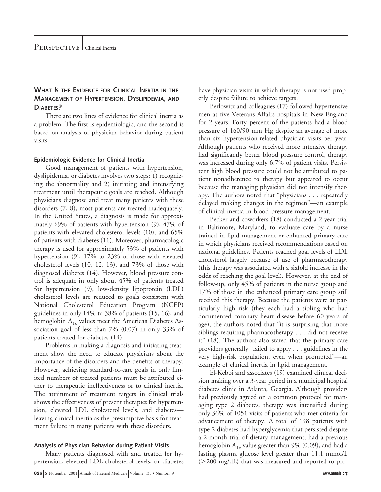## **WHAT IS THE EVIDENCE FOR CLINICAL INERTIA IN THE MANAGEMENT OF HYPERTENSION, DYSLIPIDEMIA, AND DIABETES?**

There are two lines of evidence for clinical inertia as a problem. The first is epidemiologic, and the second is based on analysis of physician behavior during patient visits.

#### **Epidemiologic Evidence for Clinical Inertia**

Good management of patients with hypertension, dyslipidemia, or diabetes involves two steps: 1) recognizing the abnormality and 2) initiating and intensifying treatment until therapeutic goals are reached. Although physicians diagnose and treat many patients with these disorders (7, 8), most patients are treated inadequately. In the United States, a diagnosis is made for approximately 69% of patients with hypertension (9), 47% of patients with elevated cholesterol levels (10), and 65% of patients with diabetes (11). Moreover, pharmacologic therapy is used for approximately 53% of patients with hypertension (9), 17% to 23% of those with elevated cholesterol levels (10, 12, 13), and 73% of those with diagnosed diabetes (14). However, blood pressure control is adequate in only about 45% of patients treated for hypertension (9), low-density lipoprotein (LDL) cholesterol levels are reduced to goals consistent with National Cholesterol Education Program (NCEP) guidelines in only 14% to 38% of patients (15, 16), and hemoglobin  $A_{1c}$  values meet the American Diabetes Association goal of less than 7% (0.07) in only 33% of patients treated for diabetes (14).

Problems in making a diagnosis and initiating treatment show the need to educate physicians about the importance of the disorders and the benefits of therapy. However, achieving standard-of-care goals in only limited numbers of treated patients must be attributed either to therapeutic ineffectiveness or to clinical inertia. The attainment of treatment targets in clinical trials shows the effectiveness of present therapies for hypertension, elevated LDL cholesterol levels, and diabetes leaving clinical inertia as the presumptive basis for treatment failure in many patients with these disorders.

#### **Analysis of Physician Behavior during Patient Visits**

Many patients diagnosed with and treated for hypertension, elevated LDL cholesterol levels, or diabetes

**826** 6 November 2001 Annals of Internal Medicine Volume 135 • Number 9 **www.annals.org**

have physician visits in which therapy is not used properly despite failure to achieve targets.

Berlowitz and colleagues (17) followed hypertensive men at five Veterans Affairs hospitals in New England for 2 years. Forty percent of the patients had a blood pressure of 160/90 mm Hg despite an average of more than six hypertension-related physician visits per year. Although patients who received more intensive therapy had significantly better blood pressure control, therapy was increased during only 6.7% of patient visits. Persistent high blood pressure could not be attributed to patient nonadherence to therapy but appeared to occur because the managing physician did not intensify therapy. The authors noted that "physicians... repeatedly delayed making changes in the regimen"—an example of clinical inertia in blood pressure management.

Becker and coworkers (18) conducted a 2-year trial in Baltimore, Maryland, to evaluate care by a nurse trained in lipid management or enhanced primary care in which physicians received recommendations based on national guidelines. Patients reached goal levels of LDL cholesterol largely because of use of pharmacotherapy (this therapy was associated with a sixfold increase in the odds of reaching the goal level). However, at the end of follow-up, only 45% of patients in the nurse group and 17% of those in the enhanced primary care group still received this therapy. Because the patients were at particularly high risk (they each had a sibling who had documented coronary heart disease before 60 years of age), the authors noted that "it is surprising that more siblings requiring pharmacotherapy . . . did not receive it" (18). The authors also stated that the primary care providers generally "failed to apply... guidelines in the very high-risk population, even when prompted"—an example of clinical inertia in lipid management.

El-Kebbi and associates (19) examined clinical decision making over a 3-year period in a municipal hospital diabetes clinic in Atlanta, Georgia. Although providers had previously agreed on a common protocol for managing type 2 diabetes, therapy was intensified during only 36% of 1051 visits of patients who met criteria for advancement of therapy. A total of 198 patients with type 2 diabetes had hyperglycemia that persisted despite a 2-month trial of dietary management, had a previous hemoglobin  $A_{1c}$  value greater than 9% (0.09), and had a fasting plasma glucose level greater than 11.1 mmol/L  $(>=200 \text{ mg/dL})$  that was measured and reported to pro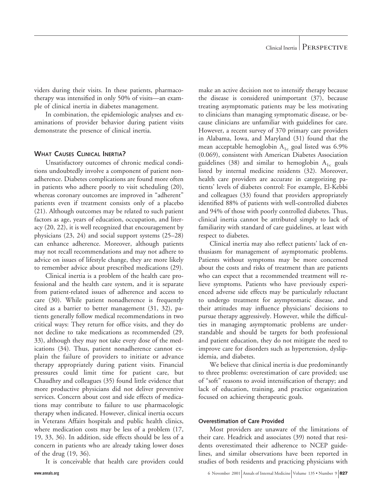viders during their visits. In these patients, pharmacotherapy was intensified in only 50% of visits—an example of clinical inertia in diabetes management.

In combination, the epidemiologic analyses and examinations of provider behavior during patient visits demonstrate the presence of clinical inertia.

#### **WHAT CAUSES CLINICAL INERTIA?**

Unsatisfactory outcomes of chronic medical conditions undoubtedly involve a component of patient nonadherence. Diabetes complications are found more often in patients who adhere poorly to visit scheduling (20), whereas coronary outcomes are improved in "adherent" patients even if treatment consists only of a placebo (21). Although outcomes may be related to such patient factors as age, years of education, occupation, and literacy (20, 22), it is well recognized that encouragement by physicians (23, 24) and social support systems (25–28) can enhance adherence. Moreover, although patients may not recall recommendations and may not adhere to advice on issues of lifestyle change, they are more likely to remember advice about prescribed medications (29).

Clinical inertia is a problem of the health care professional and the health care system, and it is separate from patient-related issues of adherence and access to care (30). While patient nonadherence is frequently cited as a barrier to better management (31, 32), patients generally follow medical recommendations in two critical ways: They return for office visits, and they do not decline to take medications as recommended (29, 33), although they may not take every dose of the medications (34). Thus, patient nonadherence cannot explain the failure of providers to initiate or advance therapy appropriately during patient visits. Financial pressures could limit time for patient care, but Chaudhry and colleagues (35) found little evidence that more productive physicians did not deliver preventive services. Concern about cost and side effects of medications may contribute to failure to use pharmacologic therapy when indicated. However, clinical inertia occurs in Veterans Affairs hospitals and public health clinics, where medication costs may be less of a problem (17, 19, 33, 36). In addition, side effects should be less of a concern in patients who are already taking lower doses of the drug (19, 36).

It is conceivable that health care providers could

make an active decision not to intensify therapy because the disease is considered unimportant (37), because treating asymptomatic patients may be less motivating to clinicians than managing symptomatic disease, or because clinicians are unfamiliar with guidelines for care. However, a recent survey of 370 primary care providers in Alabama, Iowa, and Maryland (31) found that the mean acceptable hemoglobin  $A_{1c}$  goal listed was 6.9% (0.069), consistent with American Diabetes Association guidelines (38) and similar to hemoglobin  $A_{1c}$  goals listed by internal medicine residents (32). Moreover, health care providers are accurate in categorizing patients' levels of diabetes control: For example, El-Kebbi and colleagues (33) found that providers appropriately identified 88% of patients with well-controlled diabetes and 94% of those with poorly controlled diabetes. Thus, clinical inertia cannot be attributed simply to lack of familiarity with standard of care guidelines, at least with respect to diabetes.

Clinical inertia may also reflect patients' lack of enthusiasm for management of asymptomatic problems. Patients without symptoms may be more concerned about the costs and risks of treatment than are patients who can expect that a recommended treatment will relieve symptoms. Patients who have previously experienced adverse side effects may be particularly reluctant to undergo treatment for asymptomatic disease, and their attitudes may influence physicians' decisions to pursue therapy aggressively. However, while the difficulties in managing asymptomatic problems are understandable and should be targets for both professional and patient education, they do not mitigate the need to improve care for disorders such as hypertension, dyslipidemia, and diabetes.

We believe that clinical inertia is due predominantly to three problems: overestimation of care provided; use of "soft" reasons to avoid intensification of therapy; and lack of education, training, and practice organization focused on achieving therapeutic goals.

#### **Overestimation of Care Provided**

Most providers are unaware of the limitations of their care. Headrick and associates (39) noted that residents overestimated their adherence to NCEP guidelines, and similar observations have been reported in studies of both residents and practicing physicians with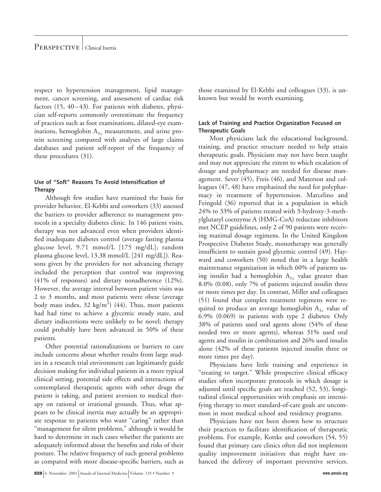respect to hypertension management, lipid management, cancer screening, and assessment of cardiac risk factors (15, 40–43). For patients with diabetes, physician self-reports commonly overestimate the frequency of practices such as foot examinations, dilated-eye examinations, hemoglobin  $A_{1c}$  measurement, and urine protein screening compared with analyses of large claims databases and patient self-report of the frequency of these procedures (31).

#### **Use of "Soft" Reasons To Avoid Intensification of Therapy**

Although few studies have examined the basis for provider behavior, El-Kebbi and coworkers (33) assessed the barriers to provider adherence to management protocols in a specialty diabetes clinic. In 146 patient visits, therapy was not advanced even when providers identified inadequate diabetes control (average fasting plasma glucose level, 9.71 mmol/L [175 mg/dL]; random plasma glucose level, 13.38 mmol/L [241 mg/dL]). Reasons given by the providers for not advancing therapy included the perception that control was improving (41% of responses) and dietary nonadherence (12%). However, the average interval between patient visits was 2 to 3 months, and most patients were obese (average body mass index, 32 kg/m<sup>2</sup>) (44). Thus, most patients had had time to achieve a glycemic steady state, and dietary indiscretions were unlikely to be novel; therapy could probably have been advanced in 50% of these patients.

Other potential rationalizations or barriers to care include concerns about whether results from large studies in a research trial environment can legitimately guide decision making for individual patients in a more typical clinical setting, potential side effects and interactions of contemplated therapeutic agents with other drugs the patient is taking, and patient aversion to medical therapy on rational or irrational grounds. Thus, what appears to be clinical inertia may actually be an appropriate response to patients who want "caring" rather than "management for silent problems," although it would be hard to determine in such cases whether the patients are adequately informed about the benefits and risks of their posture. The relative frequency of such general problems as compared with more disease-specific barriers, such as

those examined by El-Kebbi and colleagues (33), is unknown but would be worth examining.

#### **Lack of Training and Practice Organization Focused on Therapeutic Goals**

Most physicians lack the educational background, training, and practice structure needed to help attain therapeutic goals. Physicians may not have been taught and may not appreciate the extent to which escalation of dosage and polypharmacy are needed for disease management. Sever (45), Freis (46), and Materson and colleagues (47, 48) have emphasized the need for polypharmacy in treatment of hypertension. Marcelino and Feingold (36) reported that in a population in which 24% to 33% of patients treated with 3-hydroxy-3-methylglutaryl coenzyme A (HMG-CoA) reductase inhibitors met NCEP guidelines, only 2 of 90 patients were receiving maximal dosage regimens. In the United Kingdom Prospective Diabetes Study, monotherapy was generally insufficient to sustain good glycemic control (49). Hayward and coworkers (50) noted that in a large health maintenance organization in which 60% of patients using insulin had a hemoglobin  $A_{1c}$  value greater than 8.0% (0.08), only 7% of patients injected insulin three or more times per day. In contrast, Miller and colleagues (51) found that complex treatment regimens were required to produce an average hemoglobin  $A_{1c}$  value of 6.9% (0.069) in patients with type 2 diabetes: Only 38% of patients used oral agents alone (54% of these needed two or more agents), whereas 31% used oral agents and insulin in combination and 26% used insulin alone (42% of these patients injected insulin three or more times per day).

Physicians have little training and experience in "treating to target." While prospective clinical efficacy studies often incorporate protocols in which dosage is adjusted until specific goals are reached (52, 53), longitudinal clinical opportunities with emphasis on intensifying therapy to meet standard-of-care goals are uncommon in most medical school and residency programs.

Physicians have not been shown how to structure their practices to facilitate identification of therapeutic problems. For example, Kottke and coworkers (54, 55) found that primary care clinics often did not implement quality improvement initiatives that might have enhanced the delivery of important preventive services.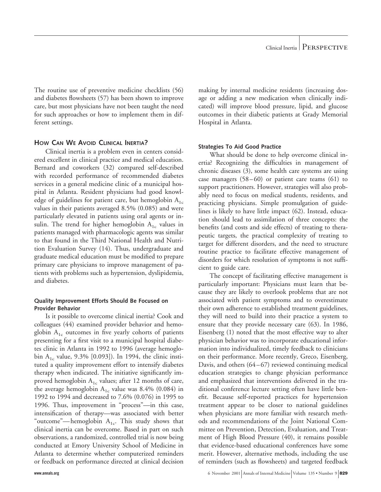The routine use of preventive medicine checklists (56) and diabetes flowsheets (57) has been shown to improve care, but most physicians have not been taught the need for such approaches or how to implement them in different settings.

#### **HOW CAN WE AVOID CLINICAL INERTIA?**

Clinical inertia is a problem even in centers considered excellent in clinical practice and medical education. Bernard and coworkers (32) compared self-described with recorded performance of recommended diabetes services in a general medicine clinic of a municipal hospital in Atlanta. Resident physicians had good knowledge of guidelines for patient care, but hemoglobin  $A_{1c}$ values in their patients averaged 8.5% (0.085) and were particularly elevated in patients using oral agents or insulin. The trend for higher hemoglobin  $A_{1c}$  values in patients managed with pharmacologic agents was similar to that found in the Third National Health and Nutrition Evaluation Survey (14). Thus, undergraduate and graduate medical education must be modified to prepare primary care physicians to improve management of patients with problems such as hypertension, dyslipidemia, and diabetes.

#### **Quality Improvement Efforts Should Be Focused on Provider Behavior**

Is it possible to overcome clinical inertia? Cook and colleagues (44) examined provider behavior and hemoglobin  $A_{1c}$  outcomes in five yearly cohorts of patients presenting for a first visit to a municipal hospital diabetes clinic in Atlanta in 1992 to 1996 (average hemoglobin  $A_{1c}$  value, 9.3% [0.093]). In 1994, the clinic instituted a quality improvement effort to intensify diabetes therapy when indicated. The initiative significantly improved hemoglobin  $A_{1c}$  values; after 12 months of care, the average hemoglobin  $A_{1c}$  value was 8.4% (0.084) in 1992 to 1994 and decreased to 7.6% (0.076) in 1995 to 1996. Thus, improvement in "process"—in this case, intensification of therapy—was associated with better "outcome"—hemoglobin  $A_{1c}$ . This study shows that clinical inertia can be overcome. Based in part on such observations, a randomized, controlled trial is now being conducted at Emory University School of Medicine in Atlanta to determine whether computerized reminders or feedback on performance directed at clinical decision

making by internal medicine residents (increasing dosage or adding a new medication when clinically indicated) will improve blood pressure, lipid, and glucose outcomes in their diabetic patients at Grady Memorial Hospital in Atlanta.

#### **Strategies To Aid Good Practice**

What should be done to help overcome clinical inertia? Recognizing the difficulties in management of chronic diseases (3), some health care systems are using case managers  $(58-60)$  or patient care teams  $(61)$  to support practitioners. However, strategies will also probably need to focus on medical students, residents, and practicing physicians. Simple promulgation of guidelines is likely to have little impact (62). Instead, education should lead to assimilation of three concepts: the benefits (and costs and side effects) of treating to therapeutic targets, the practical complexity of treating to target for different disorders, and the need to structure routine practice to facilitate effective management of disorders for which resolution of symptoms is not sufficient to guide care.

The concept of facilitating effective management is particularly important: Physicians must learn that because they are likely to overlook problems that are not associated with patient symptoms and to overestimate their own adherence to established treatment guidelines, they will need to build into their practice a system to ensure that they provide necessary care (63). In 1986, Eisenberg (1) noted that the most effective way to alter physician behavior was to incorporate educational information into individualized, timely feedback to clinicians on their performance. More recently, Greco, Eisenberg, Davis, and others  $(64–67)$  reviewed continuing medical education strategies to change physician performance and emphasized that interventions delivered in the traditional conference lecture setting often have little benefit. Because self-reported practices for hypertension treatment appear to be closer to national guidelines when physicians are more familiar with research methods and recommendations of the Joint National Committee on Prevention, Detection, Evaluation, and Treatment of High Blood Pressure (40), it remains possible that evidence-based educational conferences have some merit. However, alternative methods, including the use of reminders (such as flowsheets) and targeted feedback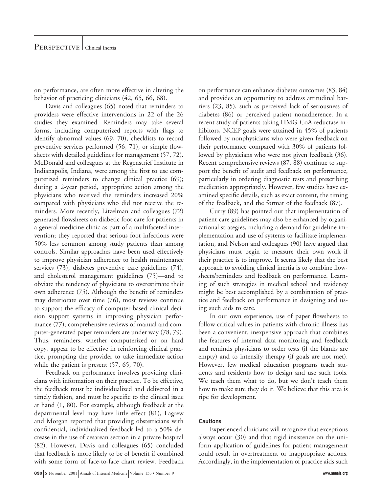on performance, are often more effective in altering the behavior of practicing clinicians (42, 65, 66, 68).

Davis and colleagues (65) noted that reminders to providers were effective interventions in 22 of the 26 studies they examined. Reminders may take several forms, including computerized reports with flags to identify abnormal values (69, 70), checklists to record preventive services performed (56, 71), or simple flowsheets with detailed guidelines for management (57, 72). McDonald and colleagues at the Regenstrief Institute in Indianapolis, Indiana, were among the first to use computerized reminders to change clinical practice (69); during a 2-year period, appropriate action among the physicians who received the reminders increased 20% compared with physicians who did not receive the reminders. More recently, Litzelman and colleagues (72) generated flowsheets on diabetic foot care for patients in a general medicine clinic as part of a multifaceted intervention; they reported that serious foot infections were 50% less common among study patients than among controls. Similar approaches have been used effectively to improve physician adherence to health maintenance services (73), diabetes preventive care guidelines (74), and cholesterol management guidelines (75)—and to obviate the tendency of physicians to overestimate their own adherence (75). Although the benefit of reminders may deteriorate over time (76), most reviews continue to support the efficacy of computer-based clinical decision support systems in improving physician performance (77); comprehensive reviews of manual and computer-generated paper reminders are under way (78, 79). Thus, reminders, whether computerized or on hard copy, appear to be effective in reinforcing clinical practice, prompting the provider to take immediate action while the patient is present  $(57, 65, 70)$ .

Feedback on performance involves providing clinicians with information on their practice. To be effective, the feedback must be individualized and delivered in a timely fashion, and must be specific to the clinical issue at hand (1, 80). For example, although feedback at the departmental level may have little effect (81), Lagrew and Morgan reported that providing obstetricians with confidential, individualized feedback led to a 50% decrease in the use of cesarean section in a private hospital (82). However, Davis and colleagues (65) concluded that feedback is more likely to be of benefit if combined with some form of face-to-face chart review. Feedback on performance can enhance diabetes outcomes (83, 84) and provides an opportunity to address attitudinal barriers (23, 85), such as perceived lack of seriousness of diabetes (86) or perceived patient nonadherence. In a recent study of patients taking HMG-CoA reductase inhibitors, NCEP goals were attained in 45% of patients followed by nonphysicians who were given feedback on their performance compared with 30% of patients followed by physicians who were not given feedback (36). Recent comprehensive reviews (87, 88) continue to support the benefit of audit and feedback on performance, particularly in ordering diagnostic tests and prescribing medication appropriately. However, few studies have examined specific details, such as exact content, the timing of the feedback, and the format of the feedback (87).

Curry (89) has pointed out that implementation of patient care guidelines may also be enhanced by organizational strategies, including a demand for guideline implementation and use of systems to facilitate implementation, and Nelson and colleagues (90) have argued that physicians must begin to measure their own work if their practice is to improve. It seems likely that the best approach to avoiding clinical inertia is to combine flowsheets/reminders and feedback on performance. Learning of such strategies in medical school and residency might be best accomplished by a combination of practice and feedback on performance in designing and using such aids to care.

In our own experience, use of paper flowsheets to follow critical values in patients with chronic illness has been a convenient, inexpensive approach that combines the features of internal data monitoring and feedback and reminds physicians to order tests (if the blanks are empty) and to intensify therapy (if goals are not met). However, few medical education programs teach students and residents how to design and use such tools. We teach them what to do, but we don't teach them how to make sure they do it. We believe that this area is ripe for development.

#### **Cautions**

Experienced clinicians will recognize that exceptions always occur (30) and that rigid insistence on the uniform application of guidelines for patient management could result in overtreatment or inappropriate actions. Accordingly, in the implementation of practice aids such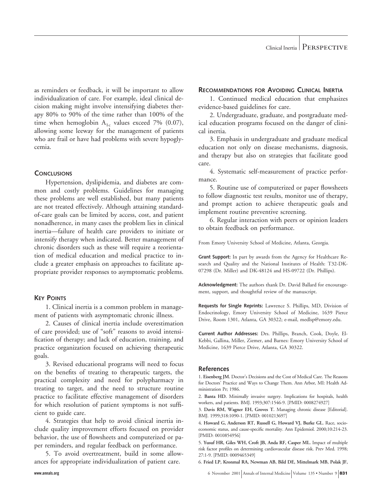as reminders or feedback, it will be important to allow individualization of care. For example, ideal clinical decision making might involve intensifying diabetes therapy 80% to 90% of the time rather than 100% of the time when hemoglobin  $A_{1c}$  values exceed 7% (0.07), allowing some leeway for the management of patients who are frail or have had problems with severe hypoglycemia.

### **CONCLUSIONS**

Hypertension, dyslipidemia, and diabetes are common and costly problems. Guidelines for managing these problems are well established, but many patients are not treated effectively. Although attaining standardof-care goals can be limited by access, cost, and patient nonadherence, in many cases the problem lies in clinical inertia—failure of health care providers to initiate or intensify therapy when indicated. Better management of chronic disorders such as these will require a reorientation of medical education and medical practice to include a greater emphasis on approaches to facilitate appropriate provider responses to asymptomatic problems.

## **KEY POINTS**

1. Clinical inertia is a common problem in management of patients with asymptomatic chronic illness.

2. Causes of clinical inertia include overestimation of care provided; use of "soft" reasons to avoid intensification of therapy; and lack of education, training, and practice organization focused on achieving therapeutic goals.

3. Revised educational programs will need to focus on the benefits of treating to therapeutic targets, the practical complexity and need for polypharmacy in treating to target, and the need to structure routine practice to facilitate effective management of disorders for which resolution of patient symptoms is not sufficient to guide care.

4. Strategies that help to avoid clinical inertia include quality improvement efforts focused on provider behavior, the use of flowsheets and computerized or paper reminders, and regular feedback on performance.

5. To avoid overtreatment, build in some allowances for appropriate individualization of patient care.

#### **RECOMMENDATIONS FOR AVOIDING CLINICAL INERTIA**

1. Continued medical education that emphasizes evidence-based guidelines for care.

2. Undergraduate, graduate, and postgraduate medical education programs focused on the danger of clinical inertia.

3. Emphasis in undergraduate and graduate medical education not only on disease mechanisms, diagnosis, and therapy but also on strategies that facilitate good care.

4. Systematic self-measurement of practice performance.

5. Routine use of computerized or paper flowsheets to follow diagnostic test results, monitor use of therapy, and prompt action to achieve therapeutic goals and implement routine preventive screening.

6. Regular interaction with peers or opinion leaders to obtain feedback on performance.

From Emory University School of Medicine, Atlanta, Georgia.

**Grant Support:** In part by awards from the Agency for Healthcare Research and Quality and the National Institutes of Health: T32-DK-07298 (Dr. Miller) and DK-48124 and HS-09722 (Dr. Phillips).

**Acknowledgment:** The authors thank Dr. David Ballard for encouragement, support, and thoughtful review of the manuscript.

**Requests for Single Reprints:** Lawrence S. Phillips, MD, Division of Endocrinology, Emory University School of Medicine, 1639 Pierce Drive, Room 1301, Atlanta, GA 30322; e-mail, medlsp@emory.edu.

**Current Author Addresses:** Drs. Phillips, Branch, Cook, Doyle, El-Kebbi, Gallina, Miller, Ziemer, and Barnes: Emory University School of Medicine, 1639 Pierce Drive, Atlanta, GA 30322.

#### **References**

1. **Eisenberg JM.** Doctor's Decisions and the Cost of Medical Care. The Reasons for Doctors' Practice and Ways to Change Them. Ann Arbor, MI: Health Administration Pr; 1986.

2. **Banta HD.** Minimally invasive surgery. Implications for hospitals, health workers, and patients. BMJ. 1993;307:1546-9. [PMID: 0008274927]

3. **Davis RM, Wagner EH, Groves T.** Managing chronic disease [Editorial]. BMJ. 1999;318:1090-1. [PMID: 0010213697]

4. **Howard G, Anderson RT, Russell G, Howard VJ, Burke GL.** Race, socioeconomic status, and cause-specific mortality. Ann Epidemiol. 2000;10:214-23. [PMID: 0010854956]

5. **Yusuf HR, Giles WH, Croft JB, Anda RF, Casper ML.** Impact of multiple risk factor profiles on determining cardiovascular disease risk. Prev Med. 1998; 27:1-9. [PMID: 0009465349]

6. **Fried LP, Kronmal RA, Newman AB, Bild DE, Mittelmark MB, Polak JF,**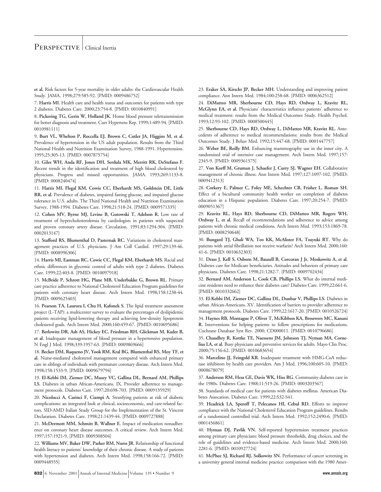**et al.** Risk factors for 5-year mortality in older adults: the Cardiovascular Health Study. JAMA. 1998;279:585-92. [PMID: 0009486752]

7. **Harris MI.** Health care and health status and outcomes for patients with type 2 diabetes. Diabetes Care. 2000;23:754-8. [PMID: 0010840991]

8. **Pickering TG, Gerin W, Holland JK.** Home blood pressure teletransmission for better diagnosis and treatment. Curr Hypertens Rep. 1999;1:489-94. [PMID: 0010981111]

9. **Burt VL, Whelton P, Roccella EJ, Brown C, Cutler JA, Higgins M, et al.** Prevalence of hypertension in the US adult population. Results from the Third National Health and Nutrition Examination Survey, 1988-1991. Hypertension. 1995;25:305-13. [PMID: 0007875754]

10. **Giles WH, Anda RF, Jones DH, Serdula MK, Merritt RK, DeStefano F.** Recent trends in the identification and treatment of high blood cholesterol by physicians. Progress and missed opportunities. JAMA. 1993;269:1133-8. [PMID: 0008240474]

11. **Harris MI, Flegal KM, Cowie CC, Eberhardt MS, Goldstein DE, Little RR, et al.** Prevalence of diabetes, impaired fasting glucose, and impaired glucose tolerance in U.S. adults. The Third National Health and Nutrition Examination Survey, 1988-1994. Diabetes Care. 1998;21:518-24. [PMID: 0009571335]

12. **Cohen MV, Byrne MJ, Levine B, Gutowski T, Adelson R.** Low rate of treatment of hypercholesterolemia by cardiologists in patients with suspected and proven coronary artery disease. Circulation. 1991;83:1294-304. [PMID: 0002013147]

13. **Stafford RS, Blumenthal D, Pasternak RC.** Variations in cholesterol management practices of U.S. physicians. J Am Coll Cardiol. 1997;29:139-46. [PMID: 0008996306]

14. **Harris MI, Eastman RC, Cowie CC, Flegal KM, Eberhardt MS.** Racial and ethnic differences in glycemic control of adults with type 2 diabetes. Diabetes Care. 1999;22:403-8. [PMID: 0010097918]

15. **McBride P, Schrott HG, Plane MB, Underbakke G, Brown RL.** Primary care practice adherence to National Cholesterol Education Program guidelines for patients with coronary heart disease. Arch Intern Med. 1998;158:1238-44. [PMID: 0009625403]

16. **Pearson TA, Laurora I, Chu H, Kafonek S.** The lipid treatment assessment project (L-TAP): a multicenter survey to evaluate the percentages of dyslipidemic patients receiving lipid-lowering therapy and achieving low-density lipoprotein cholesterol goals. Arch Intern Med. 2000;160:459-67. [PMID: 0010695686]

17. **Berlowitz DR, Ash AS, Hickey EC, Friedman RH, Glickman M, Kader B, et al.** Inadequate management of blood pressure in a hypertensive population. N Engl J Med. 1998;339:1957-63. [PMID: 0009869666]

18. **Becker DM, Raqueno JV, Yook RM, Kral BG, Blumenthal RS, Moy TF, et al.** Nurse-mediated cholesterol management compared with enhanced primary care in siblings of individuals with premature coronary disease. Arch Intern Med. 1998;158:1533-9. [PMID: 0009679794]

19. **El-Kebbi IM, Ziemer DC, Musey VC, Gallina DL, Bernard AM, Phillips LS.** Diabetes in urban African-Americans. IX. Provider adherence to management protocols. Diabetes Care. 1997;20:698-703. [PMID: 0009135929]

20. **Nicolucci A, Carinci F, Ciampi A.** Stratifying patients at risk of diabetic complications: an integrated look at clinical, socioeconomic, and care-related factors. SID-AMD Italian Study Group for the Implementation of the St. Vincent Declaration. Diabetes Care. 1998;21:1439-44. [PMID: 0009727888]

21. **McDermott MM, Schmitt B, Wallner E.** Impact of medication nonadherence on coronary heart disease outcomes. A critical review. Arch Intern Med. 1997;157:1921-9. [PMID: 0009308504]

22. **Williams MV, Baker DW, Parker RM, Nurss JR.** Relationship of functional health literacy to patients' knowledge of their chronic disease. A study of patients with hypertension and diabetes. Arch Intern Med. 1998;158:166-72. [PMID: 0009448555]

23. **Eraker SA, Kirscht JP, Becker MH.** Understanding and improving patient compliance. Ann Intern Med. 1984;100:258-68. [PMID: 0006362512]

24. **DiMatteo MR, Sherbourne CD, Hays RD, Ordway L, Kravitz RL, McGlynn EA, et al.** Physicians' characteristics influence patients' adherence to medical treatment: results from the Medical Outcomes Study. Health Psychol. 1993;12:93-102. [PMID: 0008500445]

25. **Sherbourne CD, Hays RD, Ordway L, DiMatteo MR, Kravitz RL.** Antecedents of adherence to medical recommendations: results from the Medical Outcomes Study. J Behav Med. 1992;15:447-68. [PMID: 0001447757]

26. **Weber BE, Reilly BM.** Enhancing mammography use in the inner city. A randomized trial of intensive case management. Arch Intern Med. 1997;157: 2345-9. [PMID: 0009361575]

27. **Von Korff M, Gruman J, Schaefer J, Curry SJ, Wagner EH.** Collaborative management of chronic illness. Ann Intern Med. 1997;127:1097-102. [PMID: 0009412313]

28. **Corkery E, Palmer C, Foley ME, Schechter CB, Frisher L, Roman SH.** Effect of a bicultural community health worker on completion of diabetes education in a Hispanic population. Diabetes Care. 1997;20:254-7. [PMID: 0009051367]

29. **Kravitz RL, Hays RD, Sherbourne CD, DiMatteo MR, Rogers WH, Ordway L, et al.** Recall of recommendations and adherence to advice among patients with chronic medical conditions. Arch Intern Med. 1993;153:1869-78. [PMID: 0008250648]

30. **Bungard TJ, Ghali WA, Teo KK, McAlister FA, Tsuyuki RT.** Why do patients with atrial fibrillation not receive warfarin? Arch Intern Med. 2000;160: 41-6. [PMID: 0010632303]

31. **Drass J, Kell S, Osborn M, Bausell B, Corcoran J Jr, Moskowitz A, et al.** Diabetes care for Medicare beneficiaries. Attitudes and behaviors of primary care physicians. Diabetes Care. 1998;21:1282-7. [PMID: 0009702434]

32. **Bernard AM, Anderson L, Cook CB, Phillips LS.** What do internal medicine residents need to enhance their diabetes care? Diabetes Care. 1999;22:661-6. [PMID: 0010332662]

33. **El-Kebbi IM, Ziemer DC, Gallina DL, Dunbar V, Phillips LS.** Diabetes in urban African-Americans. XV. Identification of barriers to provider adherence to management protocols. Diabetes Care. 1999;22:1617-20. [PMID: 0010526724]

34. **Haynes RB, Montague P, Oliver T, McKibbon KA, Brouwers MC, Kanani R.** Interventions for helping patients to follow prescriptions for medications. Cochrane Database Syst Rev. 2000; CD000011. [PMID: 0010796686]

35. **Chaudhry R, Kottke TE, Naessens JM, Johnson TJ, Nyman MA, Cornelius LA, et al.** Busy physicians and preventive services for adults. Mayo Clin Proc. 2000;75:156-62. [PMID: 0010683654]

36. **Marcelino JJ, Feingold KR.** Inadequate treatment with HMG-CoA reductase inhibitors by health care providers. Am J Med. 1996;100:605-10. [PMID: 0008678079]

37. **Anderson RM, Hess GE, Davis WK, Hiss RG.** Community diabetes care in the 1980s. Diabetes Care. 1988;11:519-26. [PMID: 0003203567]

38. Standards of medical care for patients with diabetes mellitus. American Diabetes Assocation. Diabetes Care. 1999;22:S32-S41.

39. **Headrick LA, Speroff T, Pelecanos HI, Cebul RD.** Efforts to improve compliance with the National Cholesterol Education Program guidelines. Results of a randomized controlled trial. Arch Intern Med. 1992;152:2490-6. [PMID: 0001456861]

40. **Hyman DJ, Pavlik VN.** Self-reported hypertension treatment practices among primary care physicians: blood pressure thresholds, drug choices, and the role of guidelines and evidence-based medicine. Arch Intern Med. 2000;160: 2281-6. [PMID: 0010927724]

41. **McPhee SJ, Richard RJ, Solkowitz SN.** Performance of cancer screening in a university general internal medicine practice: comparison with the 1980 Amer-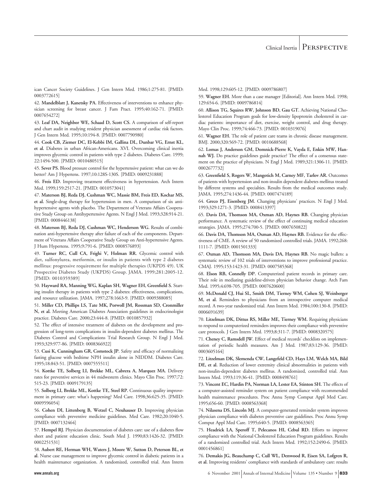ican Cancer Society Guidelines. J Gen Intern Med. 1986;1:275-81. [PMID: 0003772615]

42. **Mandelblatt J, Kanetsky PA.** Effectiveness of interventions to enhance physician screening for breast cancer. J Fam Pract. 1995;40:162-71. [PMID: 0007654272]

43. **Leaf DA, Neighbor WE, Schaad D, Scott CS.** A comparison of self-report and chart audit in studying resident physician assessment of cardiac risk factors. J Gen Intern Med. 1995;10:194-8. [PMID: 0007790980]

44. **Cook CB, Ziemer DC, El-Kebbi IM, Gallina DL, Dunbar VG, Ernst KL, et al.** Diabetes in urban African-Americans. XVI. Overcoming clinical inertia improves glycemic control in patients with type 2 diabetes. Diabetes Care. 1999; 22:1494-500. [PMID: 0010480515]

45. **Sever PS.** Blood pressure control for the hypertensive patient: what can we do better? Am J Hypertens. 1997;10:128S-130S. [PMID: 0009231888]

46. **Freis ED.** Improving treatment effectiveness in hypertension. Arch Intern Med. 1999;159:2517-21. [PMID: 0010573041]

47. **Materson BJ, Reda DJ, Cushman WC, Massie BM, Freis ED, Kochar MS, et al.** Single-drug therapy for hypertension in men. A comparison of six antihypertensive agents with placebo. The Department of Veterans Affairs Cooperative Study Group on Antihypertensive Agents. N Engl J Med. 1993;328:914-21. [PMID: 0008446138]

48. **Materson BJ, Reda DJ, Cushman WC, Henderson WG.** Results of combination anti-hypertensive therapy after failure of each of the components. Department of Veterans Affairs Cooperative Study Group on Anti-hypertensive Agents. J Hum Hypertens. 1995;9:791-6. [PMID: 0008576893]

49. **Turner RC, Cull CA, Frighi V, Holman RR.** Glycemic control with diet, sulfonylurea, metformin, or insulin in patients with type 2 diabetes mellitus: progressive requirement for multiple therapies (UKPDS 49). UK Prospective Diabetes Study (UKPDS) Group. JAMA. 1999;281:2005-12. [PMID: 0010359389]

50. **Hayward RA, Manning WG, Kaplan SH, Wagner EH, Greenfield S.** Starting insulin therapy in patients with type 2 diabetes: effectiveness, complications, and resource utilization. JAMA. 1997;278:1663-9. [PMID: 0009388085]

51. **Miller CD, Phillips LS, Tate MK, Porwoll JM, Rossman SD, Cronmiller N, et al.** Meeting American Diabetes Association guidelines in endocrinologist practice. Diabetes Care. 2000;23:444-8. [PMID: 0010857932]

52. The effect of intensive treatment of diabetes on the development and progression of long-term complications in insulin-dependent diabetes mellitus. The Diabetes Control and Complications Trial Research Group. N Engl J Med. 1993;329:977-86. [PMID: 0008366922]

53. **Cusi K, Cunningham GR, Comstock JP.** Safety and efficacy of normalizing fasting glucose with bedtime NPH insulin alone in NIDDM. Diabetes Care. 1995;18:843-51. [PMID: 0007555511]

54. **Kottke TE, Solberg LI, Brekke ML, Cabrera A, Marquez MA.** Delivery rates for preventive services in 44 midwestern clinics. Mayo Clin Proc. 1997;72: 515-23. [PMID: 0009179135]

55. **Solberg LI, Brekke ML, Kottke TE, Steel RP.** Continuous quality improvement in primary care: what's happening? Med Care. 1998;36:625-35. [PMID: 0009596054]

56. **Cohen DI, Littenberg B, Wetzel C, Neuhauser D.** Improving physician compliance with preventive medicine guidelines. Med Care. 1982;20:1040-5. [PMID: 0007132464]

57. **Hempel RJ.** Physician documentation of diabetes care: use of a diabetes flow sheet and patient education clinic. South Med J. 1990;83:1426-32. [PMID: 0002251531]

58. **Aubert RE, Herman WH, Waters J, Moore W, Sutton D, Peterson BL, et al.** Nurse case management to improve glycemic control in diabetic patients in a health maintenance organization. A randomized, controlled trial. Ann Intern Med. 1998;129:605-12. [PMID: 0009786807]

59. **Wagner EH.** More than a case manager [Editorial]. Ann Intern Med. 1998; 129:654-6. [PMID: 0009786814]

60. **Allison TG, Squires RW, Johnson BD, Gau GT.** Achieving National Cholesterol Education Program goals for low-density lipoprotein cholesterol in cardiac patients: importance of diet, exercise, weight control, and drug therapy. Mayo Clin Proc. 1999;74:466-73. [PMID: 0010319076]

61. **Wagner EH.** The role of patient care teams in chronic disease management. BMJ. 2000;320:569-72. [PMID: 0010688568]

62. **Lomas J, Anderson GM, Domnick-Pierre K, Vayda E, Enkin MW, Hannah WJ.** Do practice guidelines guide practice? The effect of a consensus statement on the practice of physicians. N Engl J Med. 1989;321:1306-11. [PMID: 0002677732]

63. **Greenfield S, Rogers W, Mangotich M, Carney MF, Tarlov AR.** Outcomes of patients with hypertension and non-insulin dependent diabetes mellitus treated by different systems and specialties. Results from the medical outcomes study. JAMA. 1995;274:1436-44. [PMID: 0007474189]

64. **Greco PJ, Eisenberg JM.** Changing physicians' practices. N Engl J Med. 1993;329:1271-3. [PMID: 0008413397]

65. **Davis DA, Thomson MA, Oxman AD, Haynes RB.** Changing physician performance. A systematic review of the effect of continuing medical education strategies. JAMA. 1995;274:700-5. [PMID: 0007650822]

66. **Davis DA, Thomson MA, Oxman AD, Haynes RB.** Evidence for the effectiveness of CME. A review of 50 randomized controlled trials. JAMA. 1992;268: 1111-7. [PMID: 0001501333]

67. **Oxman AD, Thomson MA, Davis DA, Haynes RB.** No magic bullets: a systematic review of 102 trials of interventions to improve professional practice. CMAJ. 1995;153:1423-31. [PMID: 0007585368]

68. **Elson RB, Connelly DP.** Computerized patient records in primary care. Their role in mediating guideline-driven physician behavior change. Arch Fam Med. 1995;4:698-705. [PMID: 0007620600]

69. **McDonald CJ, Hui SL, Smith DM, Tierney WM, Cohen SJ, Weinberger M, et al.** Reminders to physicians from an introspective computer medical record. A two-year randomized trial. Ann Intern Med. 1984;100:130-8. [PMID: 0006691639]

70. **Litzelman DK, Dittus RS, Miller ME, Tierney WM.** Requiring physicians to respond to computerized reminders improves their compliance with preventive care protocols. J Gen Intern Med. 1993;8:311-7. [PMID: 0008320575]

71. **Cheney C, Ramsdell JW.** Effect of medical records' checklists on implementation of periodic health measures. Am J Med. 1987;83:129-36. [PMID: 0003605164]

72. **Litzelman DK, Slemenda CW, Langefeld CD, Hays LM, Welch MA, Bild DE, et al.** Reduction of lower extremity clinical abnormalities in patients with non-insulin-dependent diabetes mellitus. A randomized, controlled trial. Ann Intern Med. 1993;119:36-41. [PMID: 0008498761]

73. **Vincent EC, Hardin PA, Norman LA, Lester EA, Stinton SH.** The effects of a computer-assisted reminder system on patient compliance with recommended health maintenance procedures. Proc Annu Symp Comput Appl Med Care. 1995;656-60. [PMID: 0008563368]

74. **Nilasena DS, Lincoln MJ.** A computer-generated reminder system improves physician compliance with diabetes preventive care guidelines. Proc Annu Symp Comput Appl Med Care. 1995;640-5. [PMID: 0008563365]

75. **Headrick LA, Speroff T, Pelecanos HI, Cebul RD.** Efforts to improve compliance with the National Cholesterol Education Program guidelines. Results of a randomized controlled trial. Arch Intern Med. 1992;152:2490-6. [PMID: 0001456861]

76. **Demakis JG, Beauchamp C, Cull WL, Denwood R, Eisen SA, Lofgren R, et al.** Improving residents' compliance with standards of ambulatory care: results

**www.annals.org** 6 November 2001 Annals of Internal Medicine Volume 135 • Number 9 **833**